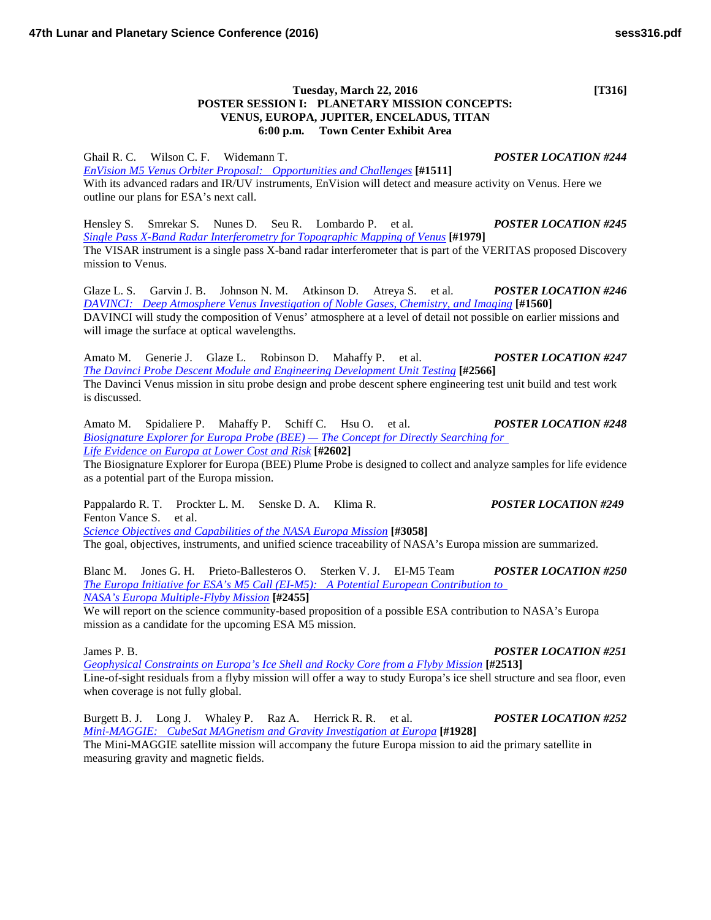## **Tuesday, March 22, 2016 [T316] POSTER SESSION I: PLANETARY MISSION CONCEPTS: VENUS, EUROPA, JUPITER, ENCELADUS, TITAN 6:00 p.m. Town Center Exhibit Area**

Ghail R. C. Wilson C. F. Widemann T. *POSTER LOCATION #244 [EnVision M5 Venus Orbiter Proposal: Opportunities and](http://www.hou.usra.edu/meetings/lpsc2016/pdf/1511.pdf) Challenges* **[#1511]** With its advanced radars and IR/UV instruments, EnVision will detect and measure activity on Venus. Here we outline our plans for ESA's next call.

Hensley S. Smrekar S. Nunes D. Seu R. Lombardo P. et al. *POSTER LOCATION #245 [Single Pass X-Band Radar Interferometry for Topographic Mapping of](http://www.hou.usra.edu/meetings/lpsc2016/pdf/1979.pdf) Venus* **[#1979]** The VISAR instrument is a single pass X-band radar interferometer that is part of the VERITAS proposed Discovery mission to Venus.

Glaze L. S. Garvin J. B. Johnson N. M. Atkinson D. Atreya S. et al. *POSTER LOCATION #246 [DAVINCI: Deep Atmosphere Venus Investigation of Noble Gases, Chemistry, and](http://www.hou.usra.edu/meetings/lpsc2016/pdf/1560.pdf) Imaging* **[#1560]** DAVINCI will study the composition of Venus' atmosphere at a level of detail not possible on earlier missions and will image the surface at optical wavelengths.

Amato M. Generie J. Glaze L. Robinson D. Mahaffy P. et al. *POSTER LOCATION #247 [The Davinci Probe Descent Module and Engineering Development Unit](http://www.hou.usra.edu/meetings/lpsc2016/pdf/2566.pdf) Testing* **[#2566]** The Davinci Venus mission in situ probe design and probe descent sphere engineering test unit build and test work is discussed.

Amato M. Spidaliere P. Mahaffy P. Schiff C. Hsu O. et al. *POSTER LOCATION #248 [Biosignature Explorer for Europa Probe \(BEE\) —](http://www.hou.usra.edu/meetings/lpsc2016/pdf/2602.pdf) The Concept for Directly Searching for [Life Evidence on Europa at Lower Cost and](http://www.hou.usra.edu/meetings/lpsc2016/pdf/2602.pdf) Risk* **[#2602]**

The Biosignature Explorer for Europa (BEE) Plume Probe is designed to collect and analyze samples for life evidence as a potential part of the Europa mission.

Pappalardo R. T. Prockter L. M. Senske D. A. Klima R. *POSTER LOCATION #249* Fenton Vance S. et al. *[Science Objectives and Capabilities of the NASA Europa](http://www.hou.usra.edu/meetings/lpsc2016/pdf/3058.pdf) Mission* **[#3058]**

The goal, objectives, instruments, and unified science traceability of NASA's Europa mission are summarized.

Blanc M. Jones G. H. Prieto-Ballesteros O. Sterken V. J. EI-M5 Team *POSTER LOCATION #250 The Europa Initiative for ESA's M5 [Call \(EI-M5\): A Potential European Contribution to](http://www.hou.usra.edu/meetings/lpsc2016/pdf/2455.pdf)  [NASA's Europa Multiple-Flyby](http://www.hou.usra.edu/meetings/lpsc2016/pdf/2455.pdf) Mission* **[#2455]**

We will report on the science community-based proposition of a possible ESA contribution to NASA's Europa mission as a candidate for the upcoming ESA M5 mission.

James P. B. *POSTER LOCATION #251*

*[Geophysical Constraints on Europa's Ice Shell and Rocky Core from a Flyby](http://www.hou.usra.edu/meetings/lpsc2016/pdf/2513.pdf) Mission* **[#2513]** Line-of-sight residuals from a flyby mission will offer a way to study Europa's ice shell structure and sea floor, even when coverage is not fully global.

Burgett B. J. Long J. Whaley P. Raz A. Herrick R. R. et al. *POSTER LOCATION #252 [Mini-MAGGIE: CubeSat MAGnetism and Gravity Investigation at](http://www.hou.usra.edu/meetings/lpsc2016/pdf/1928.pdf) Europa* **[#1928]** The Mini-MAGGIE satellite mission will accompany the future Europa mission to aid the primary satellite in measuring gravity and magnetic fields.